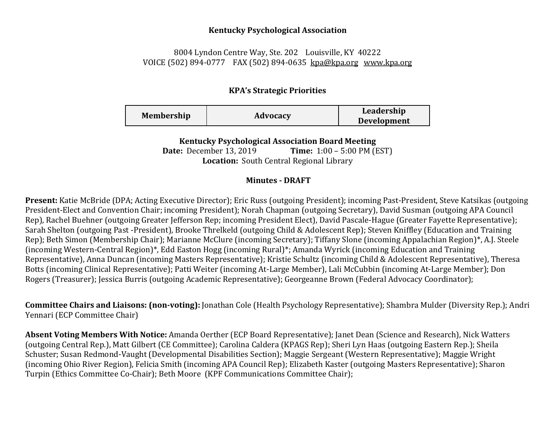#### Kentucky Psychological Association

#### 8004 Lyndon Centre Way, Ste. 202 Louisville, KY 40222 VOICE (502) 894-0777 FAX (502) 894-0635 kpa@kpa.org www.kpa.org

### KPA's Strategic Priorities

| <b>Membership</b> | Advocacy | Leadership<br><b>Development</b> |
|-------------------|----------|----------------------------------|
|-------------------|----------|----------------------------------|

Kentucky Psychological Association Board Meeting

**Date:** December 13, 2019 **Time:** 1:00 – 5:00 PM (EST) Location: South Central Regional Library

### Minutes - DRAFT

Present: Katie McBride (DPA; Acting Executive Director); Eric Russ (outgoing President); incoming Past-President, Steve Katsikas (outgoing President-Elect and Convention Chair; incoming President); Norah Chapman (outgoing Secretary), David Susman (outgoing APA Council Rep), Rachel Buehner (outgoing Greater Jefferson Rep; incoming President Elect), David Pascale-Hague (Greater Fayette Representative); Sarah Shelton (outgoing Past -President), Brooke Threlkeld (outgoing Child & Adolescent Rep); Steven Kniffley (Education and Training Rep); Beth Simon (Membership Chair); Marianne McClure (incoming Secretary); Tiffany Slone (incoming Appalachian Region)\*, A.J. Steele (incoming Western-Central Region)\*, Edd Easton Hogg (incoming Rural)\*; Amanda Wyrick (incoming Education and Training Representative), Anna Duncan (incoming Masters Representative); Kristie Schultz (incoming Child & Adolescent Representative), Theresa Botts (incoming Clinical Representative); Patti Weiter (incoming At-Large Member), Lali McCubbin (incoming At-Large Member); Don Rogers (Treasurer); Jessica Burris (outgoing Academic Representative); Georgeanne Brown (Federal Advocacy Coordinator);

Committee Chairs and Liaisons: (non-voting): Jonathan Cole (Health Psychology Representative); Shambra Mulder (Diversity Rep.); Andri Yennari (ECP Committee Chair)

Absent Voting Members With Notice: Amanda Oerther (ECP Board Representative); Janet Dean (Science and Research), Nick Watters (outgoing Central Rep.), Matt Gilbert (CE Committee); Carolina Caldera (KPAGS Rep); Sheri Lyn Haas (outgoing Eastern Rep.); Sheila Schuster; Susan Redmond-Vaught (Developmental Disabilities Section); Maggie Sergeant (Western Representative); Maggie Wright (incoming Ohio River Region), Felicia Smith (incoming APA Council Rep); Elizabeth Kaster (outgoing Masters Representative); Sharon Turpin (Ethics Committee Co-Chair); Beth Moore (KPF Communications Committee Chair);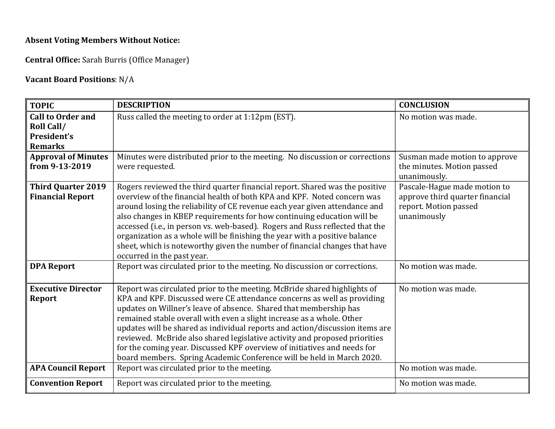# Absent Voting Members Without Notice:

Central Office: Sarah Burris (Office Manager)

## Vacant Board Positions: N/A

| <b>TOPIC</b>                                                            | <b>DESCRIPTION</b>                                                                                                                                                                                                                                                                                                                                                                                                                                                                                                                                                                                                   | <b>CONCLUSION</b>                                                                                       |
|-------------------------------------------------------------------------|----------------------------------------------------------------------------------------------------------------------------------------------------------------------------------------------------------------------------------------------------------------------------------------------------------------------------------------------------------------------------------------------------------------------------------------------------------------------------------------------------------------------------------------------------------------------------------------------------------------------|---------------------------------------------------------------------------------------------------------|
| <b>Call to Order and</b><br>Roll Call/<br>President's<br><b>Remarks</b> | Russ called the meeting to order at 1:12pm (EST).                                                                                                                                                                                                                                                                                                                                                                                                                                                                                                                                                                    | No motion was made.                                                                                     |
| <b>Approval of Minutes</b><br>from 9-13-2019                            | Minutes were distributed prior to the meeting. No discussion or corrections<br>were requested.                                                                                                                                                                                                                                                                                                                                                                                                                                                                                                                       | Susman made motion to approve<br>the minutes. Motion passed<br>unanimously.                             |
| <b>Third Quarter 2019</b><br><b>Financial Report</b>                    | Rogers reviewed the third quarter financial report. Shared was the positive<br>overview of the financial health of both KPA and KPF. Noted concern was<br>around losing the reliability of CE revenue each year given attendance and<br>also changes in KBEP requirements for how continuing education will be<br>accessed (i.e., in person vs. web-based). Rogers and Russ reflected that the<br>organization as a whole will be finishing the year with a positive balance<br>sheet, which is noteworthy given the number of financial changes that have<br>occurred in the past year.                             | Pascale-Hague made motion to<br>approve third quarter financial<br>report. Motion passed<br>unanimously |
| <b>DPA Report</b>                                                       | Report was circulated prior to the meeting. No discussion or corrections.                                                                                                                                                                                                                                                                                                                                                                                                                                                                                                                                            | No motion was made.                                                                                     |
| <b>Executive Director</b><br>Report                                     | Report was circulated prior to the meeting. McBride shared highlights of<br>KPA and KPF. Discussed were CE attendance concerns as well as providing<br>updates on Willner's leave of absence. Shared that membership has<br>remained stable overall with even a slight increase as a whole. Other<br>updates will be shared as individual reports and action/discussion items are<br>reviewed. McBride also shared legislative activity and proposed priorities<br>for the coming year. Discussed KPF overview of initiatives and needs for<br>board members. Spring Academic Conference will be held in March 2020. | No motion was made.                                                                                     |
| <b>APA Council Report</b>                                               | Report was circulated prior to the meeting.                                                                                                                                                                                                                                                                                                                                                                                                                                                                                                                                                                          | No motion was made.                                                                                     |
| <b>Convention Report</b>                                                | Report was circulated prior to the meeting.                                                                                                                                                                                                                                                                                                                                                                                                                                                                                                                                                                          | No motion was made.                                                                                     |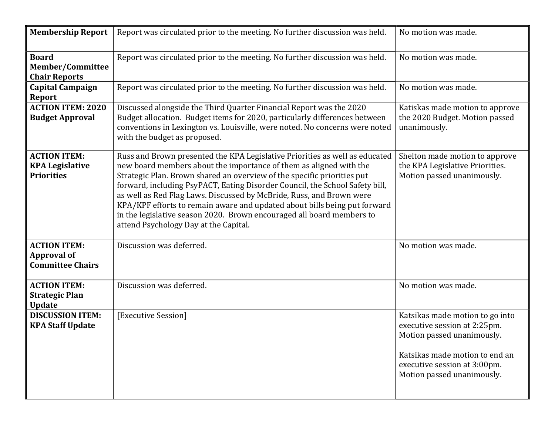| <b>Membership Report</b>                                             | Report was circulated prior to the meeting. No further discussion was held.                                                                                                                                                                                                                                                                                                                                                                                                                                                                                                         | No motion was made.                                                                                                                                                                           |
|----------------------------------------------------------------------|-------------------------------------------------------------------------------------------------------------------------------------------------------------------------------------------------------------------------------------------------------------------------------------------------------------------------------------------------------------------------------------------------------------------------------------------------------------------------------------------------------------------------------------------------------------------------------------|-----------------------------------------------------------------------------------------------------------------------------------------------------------------------------------------------|
| <b>Board</b><br><b>Member/Committee</b><br><b>Chair Reports</b>      | Report was circulated prior to the meeting. No further discussion was held.                                                                                                                                                                                                                                                                                                                                                                                                                                                                                                         | No motion was made.                                                                                                                                                                           |
| <b>Capital Campaign</b><br><b>Report</b>                             | Report was circulated prior to the meeting. No further discussion was held.                                                                                                                                                                                                                                                                                                                                                                                                                                                                                                         | No motion was made.                                                                                                                                                                           |
| <b>ACTION ITEM: 2020</b><br><b>Budget Approval</b>                   | Discussed alongside the Third Quarter Financial Report was the 2020<br>Budget allocation. Budget items for 2020, particularly differences between<br>conventions in Lexington vs. Louisville, were noted. No concerns were noted<br>with the budget as proposed.                                                                                                                                                                                                                                                                                                                    | Katiskas made motion to approve<br>the 2020 Budget. Motion passed<br>unanimously.                                                                                                             |
| <b>ACTION ITEM:</b><br><b>KPA Legislative</b><br><b>Priorities</b>   | Russ and Brown presented the KPA Legislative Priorities as well as educated<br>new board members about the importance of them as aligned with the<br>Strategic Plan. Brown shared an overview of the specific priorities put<br>forward, including PsyPACT, Eating Disorder Council, the School Safety bill,<br>as well as Red Flag Laws. Discussed by McBride, Russ, and Brown were<br>KPA/KPF efforts to remain aware and updated about bills being put forward<br>in the legislative season 2020. Brown encouraged all board members to<br>attend Psychology Day at the Capital. | Shelton made motion to approve<br>the KPA Legislative Priorities.<br>Motion passed unanimously.                                                                                               |
| <b>ACTION ITEM:</b><br><b>Approval of</b><br><b>Committee Chairs</b> | Discussion was deferred.                                                                                                                                                                                                                                                                                                                                                                                                                                                                                                                                                            | No motion was made.                                                                                                                                                                           |
| <b>ACTION ITEM:</b><br><b>Strategic Plan</b><br><b>Update</b>        | Discussion was deferred.                                                                                                                                                                                                                                                                                                                                                                                                                                                                                                                                                            | No motion was made.                                                                                                                                                                           |
| <b>DISCUSSION ITEM:</b><br><b>KPA Staff Update</b>                   | [Executive Session]                                                                                                                                                                                                                                                                                                                                                                                                                                                                                                                                                                 | Katsikas made motion to go into<br>executive session at 2:25pm.<br>Motion passed unanimously.<br>Katsikas made motion to end an<br>executive session at 3:00pm.<br>Motion passed unanimously. |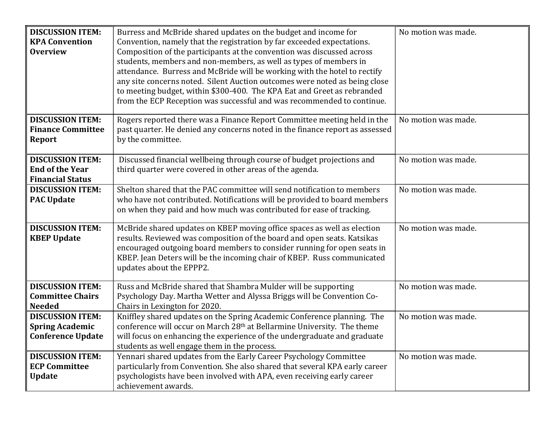| <b>DISCUSSION ITEM:</b><br><b>KPA Convention</b><br><b>Overview</b>           | Burress and McBride shared updates on the budget and income for<br>Convention, namely that the registration by far exceeded expectations.<br>Composition of the participants at the convention was discussed across<br>students, members and non-members, as well as types of members in<br>attendance. Burress and McBride will be working with the hotel to rectify<br>any site concerns noted. Silent Auction outcomes were noted as being close<br>to meeting budget, within \$300-400. The KPA Eat and Greet as rebranded<br>from the ECP Reception was successful and was recommended to continue. | No motion was made. |
|-------------------------------------------------------------------------------|----------------------------------------------------------------------------------------------------------------------------------------------------------------------------------------------------------------------------------------------------------------------------------------------------------------------------------------------------------------------------------------------------------------------------------------------------------------------------------------------------------------------------------------------------------------------------------------------------------|---------------------|
| <b>DISCUSSION ITEM:</b><br><b>Finance Committee</b><br><b>Report</b>          | Rogers reported there was a Finance Report Committee meeting held in the<br>past quarter. He denied any concerns noted in the finance report as assessed<br>by the committee.                                                                                                                                                                                                                                                                                                                                                                                                                            | No motion was made. |
| <b>DISCUSSION ITEM:</b><br><b>End of the Year</b><br><b>Financial Status</b>  | Discussed financial wellbeing through course of budget projections and<br>third quarter were covered in other areas of the agenda.                                                                                                                                                                                                                                                                                                                                                                                                                                                                       | No motion was made. |
| <b>DISCUSSION ITEM:</b><br><b>PAC Update</b>                                  | Shelton shared that the PAC committee will send notification to members<br>who have not contributed. Notifications will be provided to board members<br>on when they paid and how much was contributed for ease of tracking.                                                                                                                                                                                                                                                                                                                                                                             | No motion was made. |
| <b>DISCUSSION ITEM:</b><br><b>KBEP Update</b>                                 | McBride shared updates on KBEP moving office spaces as well as election<br>results. Reviewed was composition of the board and open seats. Katsikas<br>encouraged outgoing board members to consider running for open seats in<br>KBEP. Jean Deters will be the incoming chair of KBEP. Russ communicated<br>updates about the EPPP2.                                                                                                                                                                                                                                                                     | No motion was made. |
| <b>DISCUSSION ITEM:</b><br><b>Committee Chairs</b><br><b>Needed</b>           | Russ and McBride shared that Shambra Mulder will be supporting<br>Psychology Day. Martha Wetter and Alyssa Briggs will be Convention Co-<br>Chairs in Lexington for 2020.                                                                                                                                                                                                                                                                                                                                                                                                                                | No motion was made. |
| <b>DISCUSSION ITEM:</b><br><b>Spring Academic</b><br><b>Conference Update</b> | Kniffley shared updates on the Spring Academic Conference planning. The<br>conference will occur on March 28th at Bellarmine University. The theme<br>will focus on enhancing the experience of the undergraduate and graduate<br>students as well engage them in the process.                                                                                                                                                                                                                                                                                                                           | No motion was made. |
| <b>DISCUSSION ITEM:</b><br><b>ECP Committee</b><br><b>Update</b>              | Yennari shared updates from the Early Career Psychology Committee<br>particularly from Convention. She also shared that several KPA early career<br>psychologists have been involved with APA, even receiving early career<br>achievement awards.                                                                                                                                                                                                                                                                                                                                                        | No motion was made. |